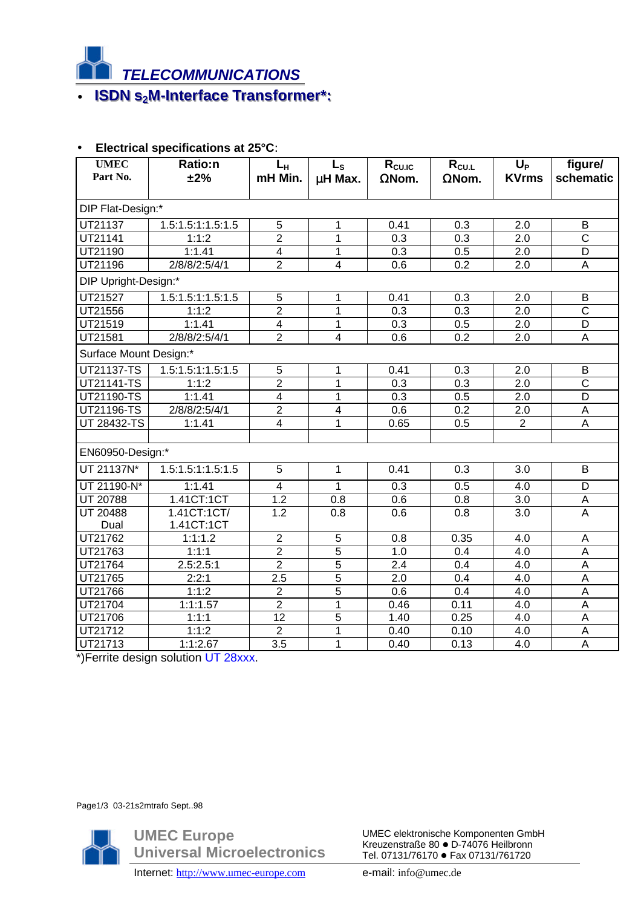

## • **ISDN s<sub>2</sub>M-Interface Transformer\*:**

| <b>UMEC</b><br>Part No. | <b>Ratio:n</b><br>±2% | $L_H$<br>mH Min.        | $L_{\rm S}$<br>µH Max. | R <sub>cu.IC</sub><br>$\Omega$ Nom. | $R_{CU.L}$<br>$\Omega$ Nom. | $U_{P}$<br><b>KVrms</b> | figure/<br>schematic  |
|-------------------------|-----------------------|-------------------------|------------------------|-------------------------------------|-----------------------------|-------------------------|-----------------------|
| DIP Flat-Design:*       |                       |                         |                        |                                     |                             |                         |                       |
| UT21137                 | 1.5:1.5:1:1.5:1.5     | 5                       | 1                      | 0.41                                | 0.3                         | 2.0                     | B                     |
| UT21141                 | 1:1:2                 | $\overline{2}$          | $\overline{1}$         | 0.3                                 | 0.3                         | 2.0                     | $\overline{\text{c}}$ |
| UT21190                 | 1:1.41                | $\overline{\mathbf{4}}$ | 1                      | 0.3                                 | 0.5                         | 2.0                     | D                     |
| UT21196                 | 2/8/8/2:5/4/1         | $\overline{2}$          | $\overline{4}$         | 0.6                                 | 0.2                         | 2.0                     | A                     |
| DIP Upright-Design:*    |                       |                         |                        |                                     |                             |                         |                       |
| UT21527                 | 1.5:1.5:1:1.5:1.5     | 5                       | 1                      | 0.41                                | 0.3                         | 2.0                     | B                     |
| UT21556                 | 1:1:2                 | $\overline{2}$          | $\mathbf{1}$           | 0.3                                 | 0.3                         | $\overline{2.0}$        | $\overline{\text{c}}$ |
| UT21519                 | 1:1.41                | $\overline{4}$          | $\mathbf 1$            | 0.3                                 | 0.5                         | 2.0                     | D                     |
| UT21581                 | 2/8/8/2:5/4/1         | $\overline{2}$          | $\overline{4}$         | 0.6                                 | 0.2                         | 2.0                     | A                     |
| Surface Mount Design:*  |                       |                         |                        |                                     |                             |                         |                       |
| <b>UT21137-TS</b>       | 1.5:1.5:1:1.5:1.5     | $\overline{5}$          | 1                      | 0.41                                | 0.3                         | 2.0                     | $\overline{B}$        |
| UT21141-TS              | 1:1:2                 | $\overline{2}$          | $\mathbf{1}$           | 0.3                                 | 0.3                         | 2.0                     | $\overline{C}$        |
| UT21190-TS              | 1:1.41                | $\overline{4}$          | $\mathbf{1}$           | 0.3                                 | 0.5                         | 2.0                     | D                     |
| UT21196-TS              | 2/8/8/2:5/4/1         | $\overline{2}$          | 4                      | 0.6                                 | 0.2                         | 2.0                     | A                     |
| UT 28432-TS             | 1:1.41                | $\overline{4}$          | 1                      | 0.65                                | 0.5                         | $\overline{2}$          | A                     |
|                         |                       |                         |                        |                                     |                             |                         |                       |
| EN60950-Design:*        |                       |                         |                        |                                     |                             |                         |                       |
| UT 21137N*              | 1.5:1.5:1:1.5:1.5     | 5                       | $\mathbf 1$            | 0.41                                | 0.3                         | 3.0                     | B                     |
| UT 21190-N*             | 1:1.41                | $\overline{4}$          | $\mathbf 1$            | 0.3                                 | 0.5                         | 4.0                     | D                     |
| UT 20788                | 1.41CT:1CT            | 1.2                     | 0.8                    | 0.6                                 | 0.8                         | 3.0                     | $\overline{A}$        |
| <b>UT 20488</b>         | 1.41CT:1CT/           | $\overline{1.2}$        | 0.8                    | 0.6                                 | 0.8                         | 3.0                     | $\overline{A}$        |
| Dual                    | 1.41CT:1CT            |                         |                        |                                     |                             |                         |                       |
| UT21762                 | 1:1:1.2               | $\overline{2}$          | 5                      | 0.8                                 | 0.35                        | 4.0                     | A                     |
| UT21763                 | 1:1:1                 | $\overline{2}$          | $\overline{5}$         | 1.0                                 | 0.4                         | 4.0                     | $\overline{A}$        |
| UT21764                 | 2.5:2.5:1             | $\overline{2}$          | $\overline{5}$         | 2.4                                 | 0.4                         | 4.0                     | $\overline{A}$        |
| UT21765                 | 2:2:1                 | 2.5                     | $\overline{5}$         | 2.0                                 | 0.4                         | 4.0                     | $\overline{A}$        |
| UT21766                 | 1:1:2                 | $\overline{2}$          | $\overline{5}$         | 0.6                                 | 0.4                         | 4.0                     | $\overline{A}$        |
| UT21704                 | 1:1:1.57              | $\overline{2}$          | $\mathbf{1}$           | 0.46                                | 0.11                        | 4.0                     | A                     |
| UT21706                 | 1:1:1                 | $\overline{12}$         | $\overline{5}$         | 1.40                                | 0.25                        | 4.0                     | $\overline{A}$        |
| UT21712                 | 1:1:2                 | $\overline{2}$          | $\mathbf{1}$           | 0.40                                | 0.10                        | 4.0                     | $\overline{A}$        |
| UT21713                 | 1:1:2.67              | $\overline{3.5}$        | 1                      | 0.40                                | 0.13                        | 4.0                     | $\overline{A}$        |

## • **Electrical specifications at 25°C**:

\*)Ferrite design solution UT 28xxx.

Page1/3 03-21s2mtrafo Sept..98

**UMEC Europe Universal Microelectronics** UMEC elektronische Komponenten GmbH Kreuzenstraße 80 · D-74076 Heilbronn Tel. 07131/76170 · Fax 07131/761720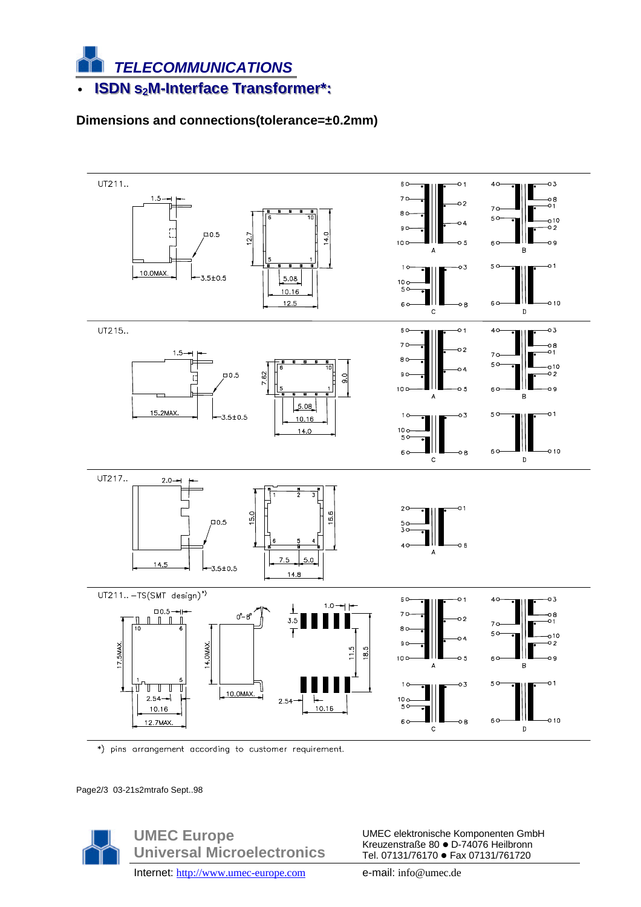

## Dimensions and connections(tolerance=±0.2mm)



\*) pins arrangement according to customer requirement.

Page2/3 03-21s2mtrafo Sept..98



UMEC elektronische Komponenten GmbH Kreuzenstraße 80 · D-74076 Heilbronn Tel. 07131/76170 · Fax 07131/761720

Internet: http://www.umec-europe.com